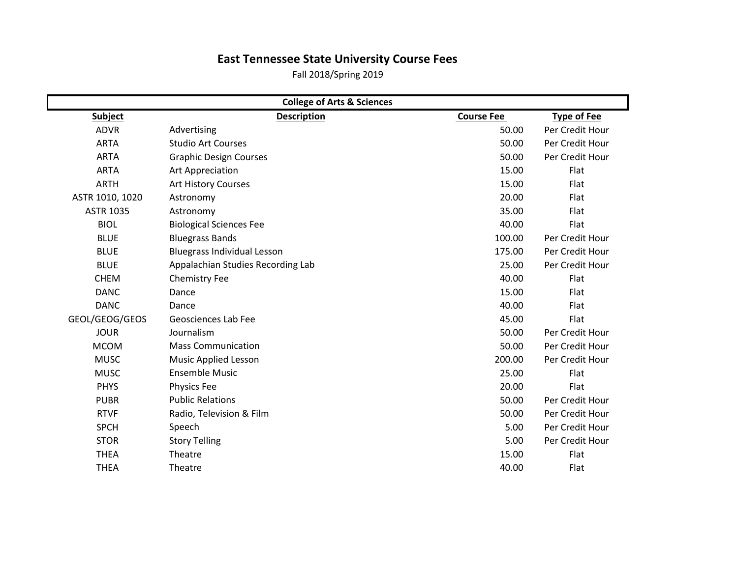## **East Tennessee State University Course Fees**

Fall 2018/Spring 2019

| <b>College of Arts &amp; Sciences</b> |                                    |                   |                    |  |
|---------------------------------------|------------------------------------|-------------------|--------------------|--|
| <b>Subject</b>                        | <b>Description</b>                 | <b>Course Fee</b> | <b>Type of Fee</b> |  |
| <b>ADVR</b>                           | Advertising                        | 50.00             | Per Credit Hour    |  |
| <b>ARTA</b>                           | <b>Studio Art Courses</b>          | 50.00             | Per Credit Hour    |  |
| <b>ARTA</b>                           | <b>Graphic Design Courses</b>      | 50.00             | Per Credit Hour    |  |
| <b>ARTA</b>                           | Art Appreciation                   | 15.00             | Flat               |  |
| <b>ARTH</b>                           | <b>Art History Courses</b>         | 15.00             | Flat               |  |
| ASTR 1010, 1020                       | Astronomy                          | 20.00             | Flat               |  |
| <b>ASTR 1035</b>                      | Astronomy                          | 35.00             | Flat               |  |
| <b>BIOL</b>                           | <b>Biological Sciences Fee</b>     | 40.00             | Flat               |  |
| <b>BLUE</b>                           | <b>Bluegrass Bands</b>             | 100.00            | Per Credit Hour    |  |
| <b>BLUE</b>                           | <b>Bluegrass Individual Lesson</b> | 175.00            | Per Credit Hour    |  |
| <b>BLUE</b>                           | Appalachian Studies Recording Lab  | 25.00             | Per Credit Hour    |  |
| <b>CHEM</b>                           | <b>Chemistry Fee</b>               | 40.00             | Flat               |  |
| <b>DANC</b>                           | Dance                              | 15.00             | Flat               |  |
| <b>DANC</b>                           | Dance                              | 40.00             | Flat               |  |
| GEOL/GEOG/GEOS                        | Geosciences Lab Fee                | 45.00             | Flat               |  |
| <b>JOUR</b>                           | Journalism                         | 50.00             | Per Credit Hour    |  |
| <b>MCOM</b>                           | <b>Mass Communication</b>          | 50.00             | Per Credit Hour    |  |
| <b>MUSC</b>                           | Music Applied Lesson               | 200.00            | Per Credit Hour    |  |
| <b>MUSC</b>                           | <b>Ensemble Music</b>              | 25.00             | Flat               |  |
| <b>PHYS</b>                           | <b>Physics Fee</b>                 | 20.00             | Flat               |  |
| <b>PUBR</b>                           | <b>Public Relations</b>            | 50.00             | Per Credit Hour    |  |
| <b>RTVF</b>                           | Radio, Television & Film           | 50.00             | Per Credit Hour    |  |
| <b>SPCH</b>                           | Speech                             | 5.00              | Per Credit Hour    |  |
| <b>STOR</b>                           | <b>Story Telling</b>               | 5.00              | Per Credit Hour    |  |
| <b>THEA</b>                           | Theatre                            | 15.00             | <b>Flat</b>        |  |
| <b>THEA</b>                           | Theatre                            | 40.00             | Flat               |  |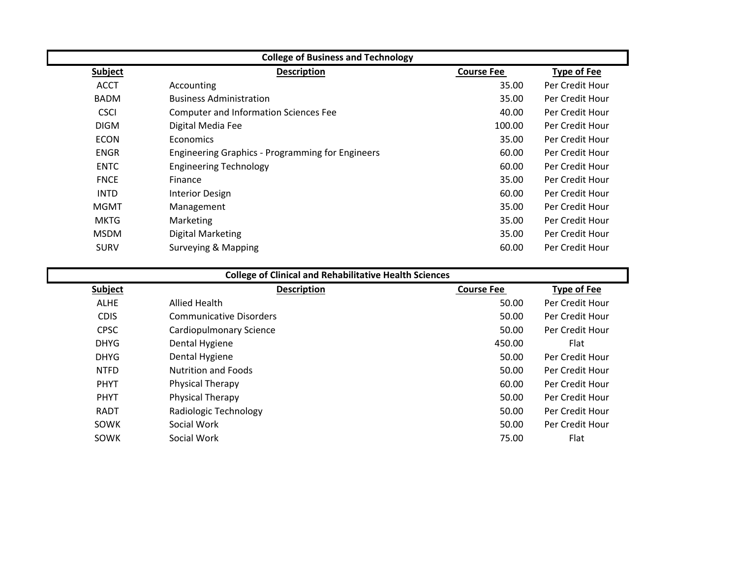| <b>College of Business and Technology</b> |                                                         |                   |                    |
|-------------------------------------------|---------------------------------------------------------|-------------------|--------------------|
| <b>Subject</b>                            | <b>Description</b>                                      | <b>Course Fee</b> | <b>Type of Fee</b> |
| <b>ACCT</b>                               | Accounting                                              | 35.00             | Per Credit Hour    |
| <b>BADM</b>                               | <b>Business Administration</b>                          | 35.00             | Per Credit Hour    |
| <b>CSCI</b>                               | <b>Computer and Information Sciences Fee</b>            | 40.00             | Per Credit Hour    |
| <b>DIGM</b>                               | Digital Media Fee                                       | 100.00            | Per Credit Hour    |
| <b>ECON</b>                               | <b>Economics</b>                                        | 35.00             | Per Credit Hour    |
| <b>ENGR</b>                               | <b>Engineering Graphics - Programming for Engineers</b> | 60.00             | Per Credit Hour    |
| <b>ENTC</b>                               | <b>Engineering Technology</b>                           | 60.00             | Per Credit Hour    |
| <b>FNCE</b>                               | Finance                                                 | 35.00             | Per Credit Hour    |
| <b>INTD</b>                               | <b>Interior Design</b>                                  | 60.00             | Per Credit Hour    |
| <b>MGMT</b>                               | Management                                              | 35.00             | Per Credit Hour    |
| <b>MKTG</b>                               | Marketing                                               | 35.00             | Per Credit Hour    |
| <b>MSDM</b>                               | <b>Digital Marketing</b>                                | 35.00             | Per Credit Hour    |
| <b>SURV</b>                               | Surveying & Mapping                                     | 60.00             | Per Credit Hour    |

| <b>College of Clinical and Rehabilitative Health Sciences</b> |                                |                   |                    |
|---------------------------------------------------------------|--------------------------------|-------------------|--------------------|
| Subject                                                       | <b>Description</b>             | <b>Course Fee</b> | <b>Type of Fee</b> |
| <b>ALHE</b>                                                   | Allied Health                  | 50.00             | Per Credit Hour    |
| <b>CDIS</b>                                                   | <b>Communicative Disorders</b> | 50.00             | Per Credit Hour    |
| <b>CPSC</b>                                                   | <b>Cardiopulmonary Science</b> | 50.00             | Per Credit Hour    |
| <b>DHYG</b>                                                   | Dental Hygiene                 | 450.00            | Flat               |
| <b>DHYG</b>                                                   | Dental Hygiene                 | 50.00             | Per Credit Hour    |
| <b>NTFD</b>                                                   | <b>Nutrition and Foods</b>     | 50.00             | Per Credit Hour    |
| <b>PHYT</b>                                                   | Physical Therapy               | 60.00             | Per Credit Hour    |
| <b>PHYT</b>                                                   | Physical Therapy               | 50.00             | Per Credit Hour    |
| <b>RADT</b>                                                   | Radiologic Technology          | 50.00             | Per Credit Hour    |
| <b>SOWK</b>                                                   | Social Work                    | 50.00             | Per Credit Hour    |
| SOWK                                                          | Social Work                    | 75.00             | Flat               |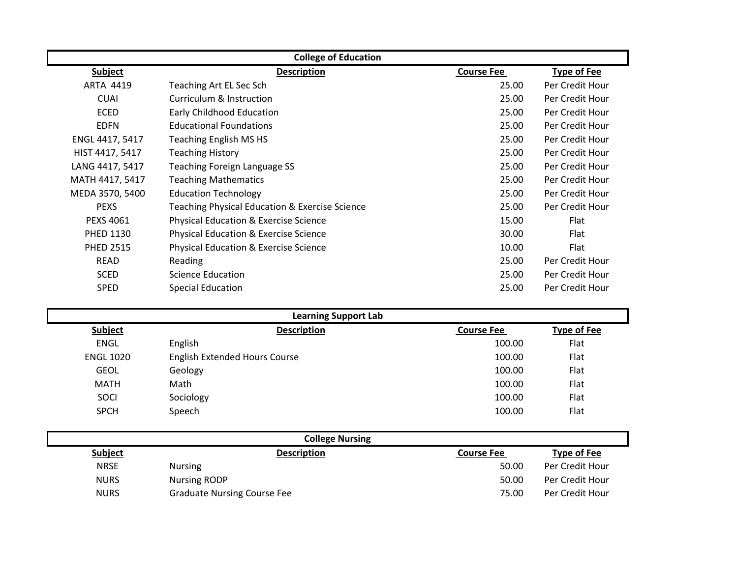| <b>College of Education</b> |                                                |                   |                    |
|-----------------------------|------------------------------------------------|-------------------|--------------------|
| <b>Subject</b>              | <b>Description</b>                             | <b>Course Fee</b> | <b>Type of Fee</b> |
| <b>ARTA 4419</b>            | Teaching Art EL Sec Sch                        | 25.00             | Per Credit Hour    |
| <b>CUAI</b>                 | Curriculum & Instruction                       | 25.00             | Per Credit Hour    |
| <b>ECED</b>                 | <b>Early Childhood Education</b>               | 25.00             | Per Credit Hour    |
| <b>EDFN</b>                 | <b>Educational Foundations</b>                 | 25.00             | Per Credit Hour    |
| ENGL 4417, 5417             | <b>Teaching English MS HS</b>                  | 25.00             | Per Credit Hour    |
| HIST 4417, 5417             | <b>Teaching History</b>                        | 25.00             | Per Credit Hour    |
| LANG 4417, 5417             | Teaching Foreign Language SS                   | 25.00             | Per Credit Hour    |
| MATH 4417, 5417             | <b>Teaching Mathematics</b>                    | 25.00             | Per Credit Hour    |
| MEDA 3570, 5400             | <b>Education Technology</b>                    | 25.00             | Per Credit Hour    |
| <b>PEXS</b>                 | Teaching Physical Education & Exercise Science | 25.00             | Per Credit Hour    |
| <b>PEXS 4061</b>            | Physical Education & Exercise Science          | 15.00             | Flat               |
| <b>PHED 1130</b>            | Physical Education & Exercise Science          | 30.00             | Flat               |
| <b>PHED 2515</b>            | Physical Education & Exercise Science          | 10.00             | Flat               |
| <b>READ</b>                 | Reading                                        | 25.00             | Per Credit Hour    |
| <b>SCED</b>                 | Science Education                              | 25.00             | Per Credit Hour    |
| <b>SPED</b>                 | <b>Special Education</b>                       | 25.00             | Per Credit Hour    |

|                  | <b>Learning Support Lab</b>          |                   |                    |
|------------------|--------------------------------------|-------------------|--------------------|
| Subject          | <b>Description</b>                   | <b>Course Fee</b> | <b>Type of Fee</b> |
| <b>ENGL</b>      | English                              | 100.00            | Flat               |
| <b>ENGL 1020</b> | <b>English Extended Hours Course</b> | 100.00            | Flat               |
| <b>GEOL</b>      | Geology                              | 100.00            | Flat               |
| <b>MATH</b>      | Math                                 | 100.00            | Flat               |
| SOCI             | Sociology                            | 100.00            | Flat               |
| <b>SPCH</b>      | Speech                               | 100.00            | Flat               |
|                  |                                      |                   |                    |
|                  | College Nursing                      |                   |                    |

| <b>CONCEC IVALSING</b> |                                    |                   |                    |  |
|------------------------|------------------------------------|-------------------|--------------------|--|
| <b>Subject</b>         | <b>Description</b>                 | <b>Course Fee</b> | <b>Type of Fee</b> |  |
| <b>NRSE</b>            | <b>Nursing</b>                     | 50.00             | Per Credit Hour    |  |
| <b>NURS</b>            | <b>Nursing RODP</b>                | 50.00             | Per Credit Hour    |  |
| <b>NURS</b>            | <b>Graduate Nursing Course Fee</b> | 75.00             | Per Credit Hour    |  |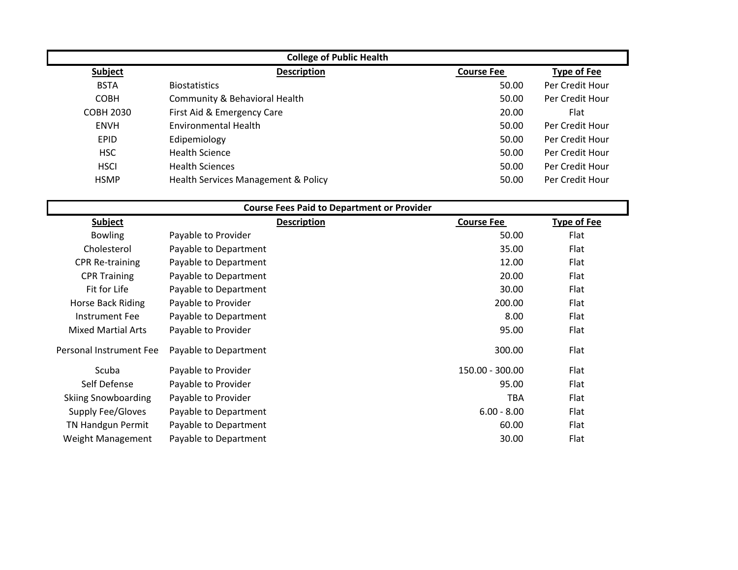| <b>College of Public Health</b> |                                     |                   |                    |  |
|---------------------------------|-------------------------------------|-------------------|--------------------|--|
| Subject                         | <b>Description</b>                  | <b>Course Fee</b> | <b>Type of Fee</b> |  |
| <b>BSTA</b>                     | <b>Biostatistics</b>                | 50.00             | Per Credit Hour    |  |
| <b>COBH</b>                     | Community & Behavioral Health       | 50.00             | Per Credit Hour    |  |
| <b>COBH 2030</b>                | First Aid & Emergency Care          | 20.00             | Flat               |  |
| <b>ENVH</b>                     | <b>Environmental Health</b>         | 50.00             | Per Credit Hour    |  |
| <b>EPID</b>                     | Edipemiology                        | 50.00             | Per Credit Hour    |  |
| <b>HSC</b>                      | <b>Health Science</b>               | 50.00             | Per Credit Hour    |  |
| <b>HSCI</b>                     | <b>Health Sciences</b>              | 50.00             | Per Credit Hour    |  |
| <b>HSMP</b>                     | Health Services Management & Policy | 50.00             | Per Credit Hour    |  |

| <b>Course Fees Paid to Department or Provider</b> |                       |                    |                   |                    |
|---------------------------------------------------|-----------------------|--------------------|-------------------|--------------------|
| <b>Subject</b>                                    |                       | <b>Description</b> | <b>Course Fee</b> | <b>Type of Fee</b> |
| <b>Bowling</b>                                    | Payable to Provider   |                    | 50.00             | Flat               |
| Cholesterol                                       | Payable to Department |                    | 35.00             | Flat               |
| <b>CPR Re-training</b>                            | Payable to Department |                    | 12.00             | Flat               |
| <b>CPR Training</b>                               | Payable to Department |                    | 20.00             | Flat               |
| Fit for Life                                      | Payable to Department |                    | 30.00             | Flat               |
| Horse Back Riding                                 | Payable to Provider   |                    | 200.00            | Flat               |
| Instrument Fee                                    | Payable to Department |                    | 8.00              | Flat               |
| <b>Mixed Martial Arts</b>                         | Payable to Provider   |                    | 95.00             | Flat               |
| Personal Instrument Fee                           | Payable to Department |                    | 300.00            | Flat               |
| Scuba                                             | Payable to Provider   |                    | 150.00 - 300.00   | Flat               |
| Self Defense                                      | Payable to Provider   |                    | 95.00             | Flat               |
| <b>Skiing Snowboarding</b>                        | Payable to Provider   |                    | <b>TBA</b>        | Flat               |
| Supply Fee/Gloves                                 | Payable to Department |                    | $6.00 - 8.00$     | Flat               |
| <b>TN Handgun Permit</b>                          | Payable to Department |                    | 60.00             | Flat               |
| Weight Management                                 | Payable to Department |                    | 30.00             | Flat               |